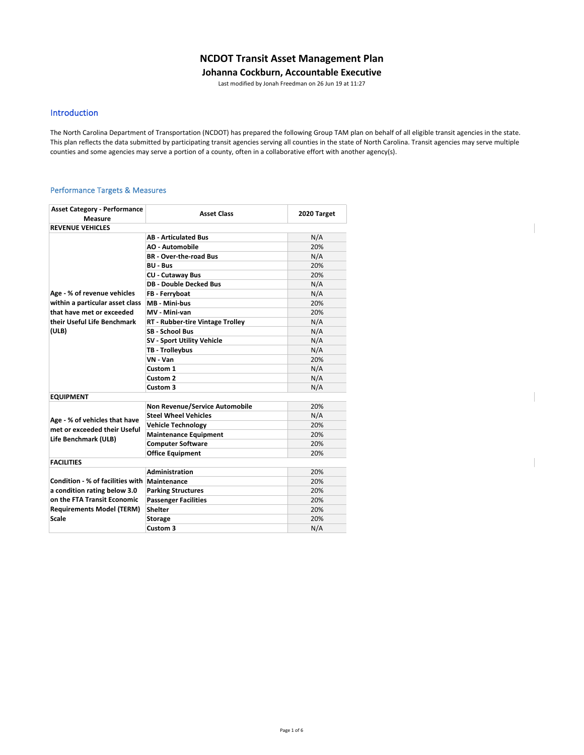## **NCDOT Transit Asset Management Plan**

### **Johanna Cockburn, Accountable Executive**

Last modified by Jonah Freedman on 26 Jun 19 at 11:27

### Introduction

The North Carolina Department of Transportation (NCDOT) has prepared the following Group TAM plan on behalf of all eligible transit agencies in the state. This plan reflects the data submitted by participating transit agencies serving all counties in the state of North Carolina. Transit agencies may serve multiple counties and some agencies may serve a portion of a county, often in a collaborative effort with another agency(s).

#### Performance Targets & Measures

| <b>Asset Category - Performance</b><br>Measure | <b>Asset Class</b>                    | 2020 Target |
|------------------------------------------------|---------------------------------------|-------------|
| <b>REVENUE VEHICLES</b>                        |                                       |             |
|                                                | <b>AB - Articulated Bus</b>           | N/A         |
|                                                | <b>AO - Automobile</b>                | 20%         |
|                                                | <b>BR</b> - Over-the-road Bus         | N/A         |
|                                                | <b>BU - Bus</b>                       | 20%         |
|                                                | <b>CU - Cutaway Bus</b>               | 20%         |
|                                                | <b>DB - Double Decked Bus</b>         | N/A         |
| Age - % of revenue vehicles                    | FB - Ferryboat                        | N/A         |
| within a particular asset class                | MB - Mini-bus                         | 20%         |
| that have met or exceeded                      | MV - Mini-van                         | 20%         |
| their Useful Life Benchmark                    | RT - Rubber-tire Vintage Trolley      | N/A         |
| (ULB)                                          | <b>SB - School Bus</b>                | N/A         |
|                                                | <b>SV - Sport Utility Vehicle</b>     | N/A         |
|                                                | TB - Trolleybus                       | N/A         |
|                                                | VN - Van                              | 20%         |
|                                                | Custom 1                              | N/A         |
|                                                | Custom 2                              | N/A         |
|                                                | Custom 3                              | N/A         |
| <b>EQUIPMENT</b>                               |                                       |             |
|                                                | <b>Non Revenue/Service Automobile</b> | 20%         |
| Age - % of vehicles that have                  | <b>Steel Wheel Vehicles</b>           | N/A         |
| met or exceeded their Useful                   | <b>Vehicle Technology</b>             | 20%         |
| Life Benchmark (ULB)                           | <b>Maintenance Equipment</b>          | 20%         |
|                                                | <b>Computer Software</b>              | 20%         |
|                                                | <b>Office Equipment</b>               | 20%         |
| <b>FACILITIES</b>                              |                                       |             |
|                                                | Administration                        | 20%         |
| Condition - % of facilities with   Maintenance |                                       | 20%         |
| a condition rating below 3.0                   | <b>Parking Structures</b>             | 20%         |
| on the FTA Transit Economic                    | <b>Passenger Facilities</b>           | 20%         |
| <b>Requirements Model (TERM)</b>               | <b>Shelter</b>                        | 20%         |
| Scale                                          | <b>Storage</b>                        | 20%         |
|                                                | Custom 3                              | N/A         |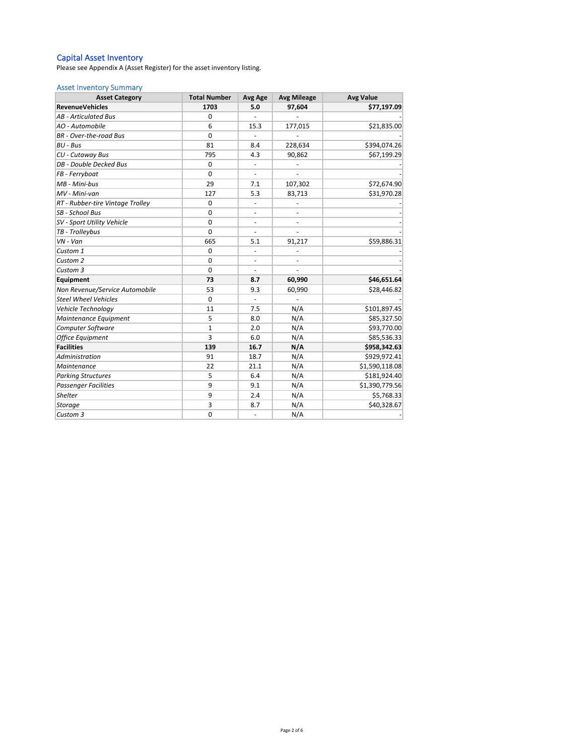#### Capital Asset Inventory

Please see Appendix A (Asset Register) for the asset inventory listing.

#### Asset Inventory Summary

| <b>Asset Category</b>            | <b>Total Number</b> | <b>Avg Age</b>           | <b>Avg Mileage</b> | <b>Avg Value</b> |
|----------------------------------|---------------------|--------------------------|--------------------|------------------|
| <b>RevenueVehicles</b>           | 1703                | 5.0                      | 97,604             | \$77,197.09      |
| <b>AB</b> - Articulated Bus      | 0                   |                          |                    |                  |
| AO - Automobile                  | 6                   | 15.3                     | 177,015            | \$21,835.00      |
| <b>BR</b> - Over-the-road Bus    | $\Omega$            |                          |                    |                  |
| BU - Bus                         | 81                  | 8.4                      | 228,634            | \$394,074.26     |
| CU - Cutaway Bus                 | 795                 | 4.3                      | 90,862             | \$67,199.29      |
| DB - Double Decked Bus           | $\mathbf 0$         |                          |                    |                  |
| FB - Ferryboat                   | $\mathbf 0$         |                          |                    |                  |
| MB - Mini-bus                    | 29                  | 7.1                      | 107,302            | \$72,674.90      |
| MV - Mini-van                    | 127                 | 5.3                      | 83,713             | \$31,970.28      |
| RT - Rubber-tire Vintage Trolley | $\mathbf 0$         | $\overline{\phantom{a}}$ |                    |                  |
| SB - School Bus                  | $\Omega$            | $\overline{\phantom{a}}$ |                    |                  |
| SV - Sport Utility Vehicle       | $\Omega$            |                          |                    |                  |
| TB - Trolleybus                  | $\mathbf 0$         |                          |                    |                  |
| $VN - Van$                       | 665                 | 5.1                      | 91,217             | \$59,886.31      |
| Custom 1                         | $\mathbf 0$         | $\blacksquare$           |                    |                  |
| Custom <sub>2</sub>              | $\Omega$            | $\overline{\phantom{a}}$ |                    |                  |
| Custom 3                         | $\Omega$            |                          |                    |                  |
| Equipment                        | 73                  | 8.7                      | 60,990             | \$46,651.64      |
| Non Revenue/Service Automobile   | 53                  | 9.3                      | 60,990             | \$28,446.82      |
| <b>Steel Wheel Vehicles</b>      | 0                   | $\overline{\phantom{a}}$ |                    |                  |
| Vehicle Technology               | 11                  | 7.5                      | N/A                | \$101,897.45     |
| Maintenance Equipment            | 5                   | 8.0                      | N/A                | \$85,327.50      |
| Computer Software                | $\mathbf{1}$        | 2.0                      | N/A                | \$93,770.00      |
| Office Equipment                 | 3                   | 6.0                      | N/A                | \$85,536.33      |
| <b>Facilities</b>                | 139                 | 16.7                     | N/A                | \$958,342.63     |
| Administration                   | 91                  | 18.7                     | N/A                | \$929,972.41     |
| Maintenance                      | 22                  | 21.1                     | N/A                | \$1,590,118.08   |
| <b>Parking Structures</b>        | 5                   | 6.4                      | N/A                | \$181,924.40     |
| <b>Passenger Facilities</b>      | 9                   | 9.1                      | N/A                | \$1,390,779.56   |
| <b>Shelter</b>                   | 9                   | 2.4                      | N/A                | \$5,768.33       |
| Storage                          | 3                   | 8.7                      | N/A                | \$40,328.67      |
| Custom 3                         | $\mathbf 0$         | $\overline{\phantom{a}}$ | N/A                |                  |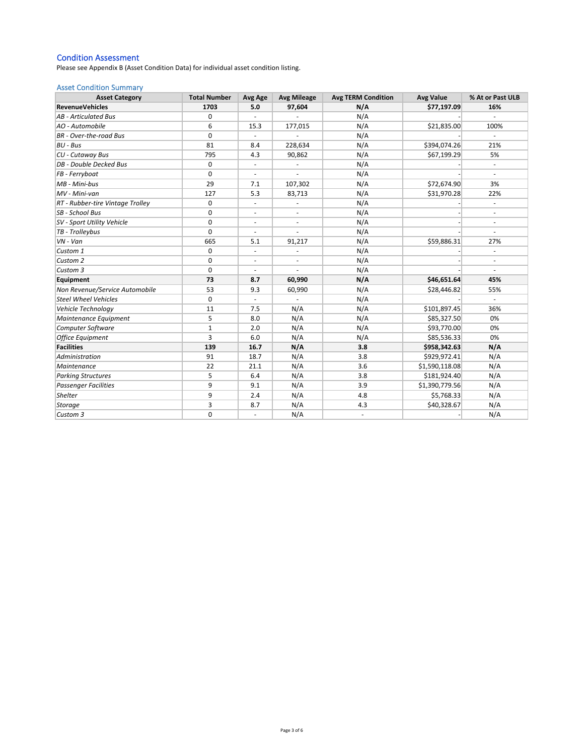### Condition Assessment

Please see Appendix B (Asset Condition Data) for individual asset condition listing.

#### Asset Condition Summary

| <b>Asset Category</b>            | <b>Total Number</b> | Avg Age                  | <b>Avg Mileage</b>       | <b>Avg TERM Condition</b> | <b>Avg Value</b> | % At or Past ULB             |
|----------------------------------|---------------------|--------------------------|--------------------------|---------------------------|------------------|------------------------------|
| <b>RevenueVehicles</b>           | 1703                | 5.0                      | 97,604                   | N/A                       | \$77,197.09      | 16%                          |
| <b>AB</b> - Articulated Bus      | 0                   |                          |                          | N/A                       |                  |                              |
| AO - Automobile                  | 6                   | 15.3                     | 177,015                  | N/A                       | \$21,835.00      | 100%                         |
| <b>BR</b> - Over-the-road Bus    | 0                   |                          |                          | N/A                       |                  |                              |
| <b>BU - Bus</b>                  | 81                  | 8.4                      | 228,634                  | N/A                       | \$394,074.26     | 21%                          |
| CU - Cutaway Bus                 | 795                 | 4.3                      | 90,862                   | N/A                       | \$67,199.29      | 5%                           |
| DB - Double Decked Bus           | 0                   | $\sim$                   | ä,                       | N/A                       |                  | $\bar{a}$                    |
| FB - Ferryboat                   | $\mathbf 0$         |                          |                          | N/A                       |                  |                              |
| MB - Mini-bus                    | 29                  | 7.1                      | 107,302                  | N/A                       | \$72,674.90      | 3%                           |
| MV - Mini-van                    | 127                 | 5.3                      | 83,713                   | N/A                       | \$31,970.28      | 22%                          |
| RT - Rubber-tire Vintage Trolley | 0                   | $\overline{\phantom{a}}$ | $\overline{\phantom{a}}$ | N/A                       |                  | $\overline{\phantom{a}}$     |
| SB - School Bus                  | 0                   | $\blacksquare$           | $\overline{\phantom{a}}$ | N/A                       |                  | ä,                           |
| SV - Sport Utility Vehicle       | $\mathbf 0$         | $\sim$                   | ä,                       | N/A                       |                  |                              |
| TB - Trolleybus                  | $\Omega$            |                          |                          | N/A                       |                  |                              |
| VN - Van                         | 665                 | 5.1                      | 91,217                   | N/A                       | \$59,886.31      | 27%                          |
| Custom 1                         | 0                   | $\overline{\phantom{a}}$ | ÷,                       | N/A                       |                  | ÷                            |
| Custom 2                         | 0                   | $\overline{\phantom{a}}$ | ÷,                       | N/A                       |                  | $\qquad \qquad \blacksquare$ |
| Custom 3                         | $\mathbf 0$         | $\overline{\phantom{a}}$ | ä,                       | N/A                       |                  |                              |
| Equipment                        | 73                  | 8.7                      | 60,990                   | N/A                       | \$46,651.64      | 45%                          |
| Non Revenue/Service Automobile   | 53                  | 9.3                      | 60,990                   | N/A                       | \$28,446.82      | 55%                          |
| <b>Steel Wheel Vehicles</b>      | 0                   |                          |                          | N/A                       |                  |                              |
| Vehicle Technology               | 11                  | 7.5                      | N/A                      | N/A                       | \$101,897.45     | 36%                          |
| Maintenance Equipment            | 5                   | 8.0                      | N/A                      | N/A                       | \$85,327.50      | 0%                           |
| Computer Software                | $\mathbf{1}$        | 2.0                      | N/A                      | N/A                       | \$93,770.00      | 0%                           |
| <b>Office Equipment</b>          | 3                   | 6.0                      | N/A                      | N/A                       | \$85,536.33      | 0%                           |
| <b>Facilities</b>                | 139                 | 16.7                     | N/A                      | 3.8                       | \$958,342.63     | N/A                          |
| Administration                   | 91                  | 18.7                     | N/A                      | 3.8                       | \$929,972.41     | N/A                          |
| Maintenance                      | 22                  | 21.1                     | N/A                      | 3.6                       | \$1,590,118.08   | N/A                          |
| <b>Parking Structures</b>        | 5                   | 6.4                      | N/A                      | 3.8                       | \$181,924.40     | N/A                          |
| <b>Passenger Facilities</b>      | 9                   | 9.1                      | N/A                      | 3.9                       | \$1,390,779.56   | N/A                          |
| Shelter                          | 9                   | 2.4                      | N/A                      | 4.8                       | \$5,768.33       | N/A                          |
| <b>Storage</b>                   | 3                   | 8.7                      | N/A                      | 4.3                       | \$40,328.67      | N/A                          |
| Custom 3                         | 0                   | ÷,                       | N/A                      | $\overline{\phantom{a}}$  |                  | N/A                          |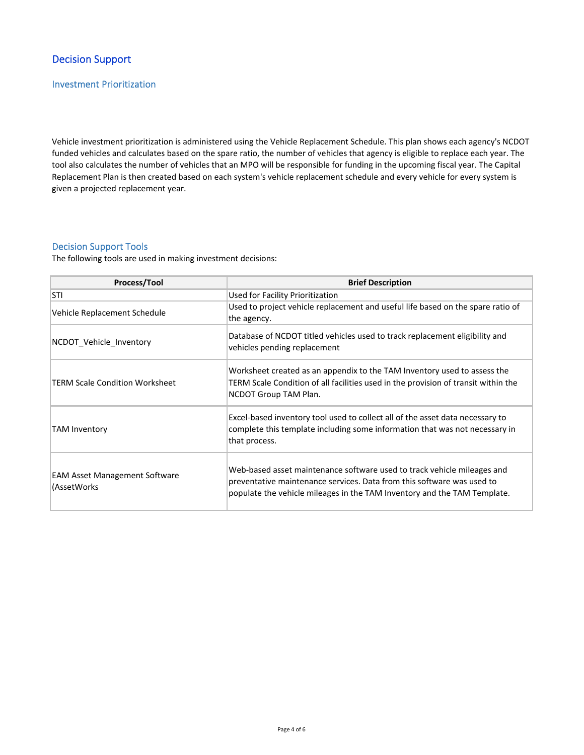# Decision Support

## Investment Prioritization

Vehicle investment prioritization is administered using the Vehicle Replacement Schedule. This plan shows each agency's NCDOT funded vehicles and calculates based on the spare ratio, the number of vehicles that agency is eligible to replace each year. The tool also calculates the number of vehicles that an MPO will be responsible for funding in the upcoming fiscal year. The Capital Replacement Plan is then created based on each system's vehicle replacement schedule and every vehicle for every system is given a projected replacement year.

### Decision Support Tools

The following tools are used in making investment decisions:

| Process/Tool                                        | <b>Brief Description</b>                                                                                                                                                                                                      |
|-----------------------------------------------------|-------------------------------------------------------------------------------------------------------------------------------------------------------------------------------------------------------------------------------|
| STI                                                 | Used for Facility Prioritization                                                                                                                                                                                              |
| Vehicle Replacement Schedule                        | Used to project vehicle replacement and useful life based on the spare ratio of<br>the agency.                                                                                                                                |
| NCDOT Vehicle Inventory                             | Database of NCDOT titled vehicles used to track replacement eligibility and<br>vehicles pending replacement                                                                                                                   |
| TERM Scale Condition Worksheet                      | Worksheet created as an appendix to the TAM Inventory used to assess the<br>TERM Scale Condition of all facilities used in the provision of transit within the<br>NCDOT Group TAM Plan.                                       |
| <b>TAM Inventory</b>                                | Excel-based inventory tool used to collect all of the asset data necessary to<br>complete this template including some information that was not necessary in<br>that process.                                                 |
| <b>EAM Asset Management Software</b><br>(AssetWorks | Web-based asset maintenance software used to track vehicle mileages and<br>preventative maintenance services. Data from this software was used to<br>populate the vehicle mileages in the TAM Inventory and the TAM Template. |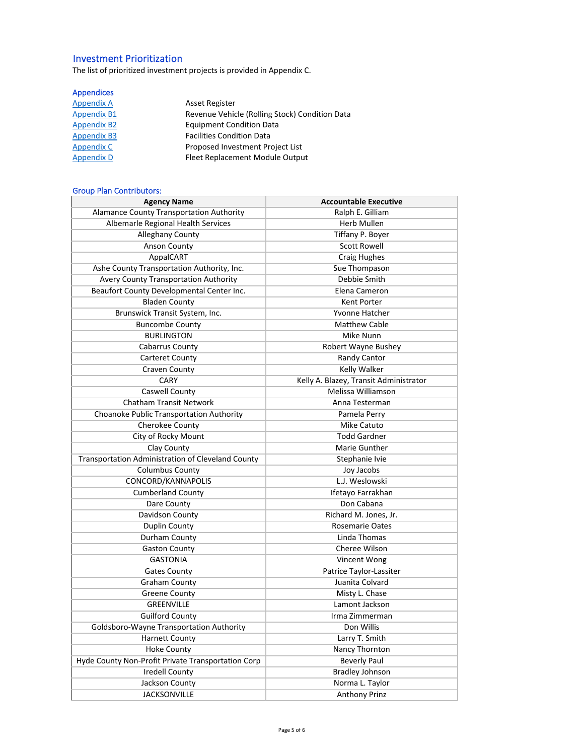# Investment Prioritization

The list of prioritized investment projects is provided in Appendix C.

# Appendices

| Appendix A         | Asset Register                                 |
|--------------------|------------------------------------------------|
| <b>Appendix B1</b> | Revenue Vehicle (Rolling Stock) Condition Data |
| <b>Appendix B2</b> | <b>Equipment Condition Data</b>                |
| <b>Appendix B3</b> | <b>Facilities Condition Data</b>               |
| <b>Appendix C</b>  | Proposed Investment Project List               |
| <b>Appendix D</b>  | Fleet Replacement Module Output                |

## Group Plan Contributors:

| <b>Agency Name</b>                                 | <b>Accountable Executive</b>           |
|----------------------------------------------------|----------------------------------------|
| <b>Alamance County Transportation Authority</b>    | Ralph E. Gilliam                       |
| Albemarle Regional Health Services                 | Herb Mullen                            |
| Alleghany County                                   | Tiffany P. Boyer                       |
| <b>Anson County</b>                                | <b>Scott Rowell</b>                    |
| AppalCART                                          | <b>Craig Hughes</b>                    |
| Ashe County Transportation Authority, Inc.         | Sue Thompason                          |
| Avery County Transportation Authority              | Debbie Smith                           |
| Beaufort County Developmental Center Inc.          | Elena Cameron                          |
| <b>Bladen County</b>                               | Kent Porter                            |
| Brunswick Transit System, Inc.                     | Yvonne Hatcher                         |
| <b>Buncombe County</b>                             | <b>Matthew Cable</b>                   |
| <b>BURLINGTON</b>                                  | Mike Nunn                              |
| <b>Cabarrus County</b>                             | Robert Wayne Bushey                    |
| <b>Carteret County</b>                             | Randy Cantor                           |
| Craven County                                      | Kelly Walker                           |
| CARY                                               | Kelly A. Blazey, Transit Administrator |
| <b>Caswell County</b>                              | Melissa Williamson                     |
| <b>Chatham Transit Network</b>                     | Anna Testerman                         |
| Choanoke Public Transportation Authority           | Pamela Perry                           |
| Cherokee County                                    | Mike Catuto                            |
| City of Rocky Mount                                | <b>Todd Gardner</b>                    |
| Clay County                                        | Marie Gunther                          |
| Transportation Administration of Cleveland County  | Stephanie Ivie                         |
| <b>Columbus County</b>                             | Joy Jacobs                             |
| CONCORD/KANNAPOLIS                                 | L.J. Weslowski                         |
| <b>Cumberland County</b>                           | Ifetayo Farrakhan                      |
| Dare County                                        | Don Cabana                             |
| Davidson County                                    | Richard M. Jones, Jr.                  |
| Duplin County                                      | <b>Rosemarie Oates</b>                 |
| Durham County                                      | Linda Thomas                           |
| <b>Gaston County</b>                               | Cheree Wilson                          |
| <b>GASTONIA</b>                                    | Vincent Wong                           |
| <b>Gates County</b>                                | Patrice Taylor-Lassiter                |
| <b>Graham County</b>                               | Juanita Colvard                        |
| <b>Greene County</b>                               | Misty L. Chase                         |
| <b>GREENVILLE</b>                                  | Lamont Jackson                         |
| <b>Guilford County</b>                             | Irma Zimmerman                         |
| Goldsboro-Wayne Transportation Authority           | Don Willis                             |
| <b>Harnett County</b>                              | Larry T. Smith                         |
| <b>Hoke County</b>                                 | Nancy Thornton                         |
| Hyde County Non-Profit Private Transportation Corp | <b>Beverly Paul</b>                    |
| <b>Iredell County</b>                              | <b>Bradley Johnson</b>                 |
| Jackson County                                     | Norma L. Taylor                        |
| <b>JACKSONVILLE</b>                                | <b>Anthony Prinz</b>                   |